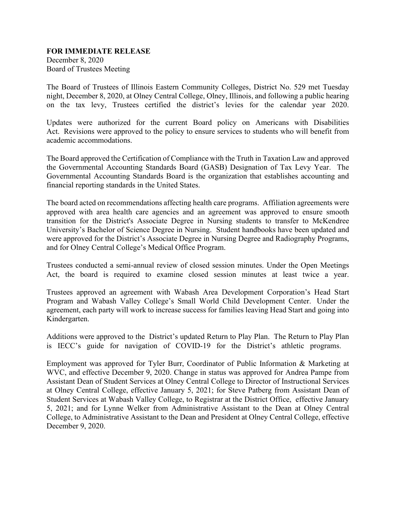## **FOR IMMEDIATE RELEASE**

December 8, 2020 Board of Trustees Meeting

The Board of Trustees of Illinois Eastern Community Colleges, District No. 529 met Tuesday night, December 8, 2020, at Olney Central College, Olney, Illinois, and following a public hearing on the tax levy, Trustees certified the district's levies for the calendar year 2020.

Updates were authorized for the current Board policy on Americans with Disabilities Act. Revisions were approved to the policy to ensure services to students who will benefit from academic accommodations.

The Board approved the Certification of Compliance with the Truth in Taxation Law and approved the Governmental Accounting Standards Board (GASB) Designation of Tax Levy Year. The Governmental Accounting Standards Board is the organization that establishes accounting and financial reporting standards in the United States.

The board acted on recommendations affecting health care programs. Affiliation agreements were approved with area health care agencies and an agreement was approved to ensure smooth transition for the District's Associate Degree in Nursing students to transfer to McKendree University's Bachelor of Science Degree in Nursing. Student handbooks have been updated and were approved for the District's Associate Degree in Nursing Degree and Radiography Programs, and for Olney Central College's Medical Office Program.

Trustees conducted a semi-annual review of closed session minutes. Under the Open Meetings Act, the board is required to examine closed session minutes at least twice a year.

Trustees approved an agreement with Wabash Area Development Corporation's Head Start Program and Wabash Valley College's Small World Child Development Center. Under the agreement, each party will work to increase success for families leaving Head Start and going into Kindergarten.

Additions were approved to the District's updated Return to Play Plan. The Return to Play Plan is IECC's guide for navigation of COVID-19 for the District's athletic programs.

Employment was approved for Tyler Burr, Coordinator of Public Information & Marketing at WVC, and effective December 9, 2020. Change in status was approved for Andrea Pampe from Assistant Dean of Student Services at Olney Central College to Director of Instructional Services at Olney Central College, effective January 5, 2021; for Steve Patberg from Assistant Dean of Student Services at Wabash Valley College, to Registrar at the District Office, effective January 5, 2021; and for Lynne Welker from Administrative Assistant to the Dean at Olney Central College, to Administrative Assistant to the Dean and President at Olney Central College, effective December 9, 2020.